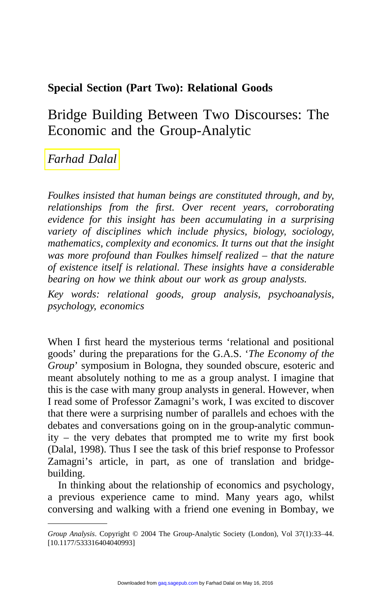## **Special Section (Part Two): Relational Goods**

# Bridge Building Between Two Discourses: The Economic and the Group-Analytic

## *[Farhad Dalal](#page-11-0)*

*Foulkes insisted that human beings are constituted through, and by, relationships from the first. Over recent years, corroborating evidence for this insight has been accumulating in a surprising variety of disciplines which include physics, biology, sociology, mathematics, complexity and economics. It turns out that the insight was more profound than Foulkes himself realized – that the nature of existence itself is relational. These insights have a considerable bearing on how we think about our work as group analysts.*

*Key words: relational goods, group analysis, psychoanalysis, psychology, economics*

When I first heard the mysterious terms 'relational and positional goods' during the preparations for the G.A.S. '*The Economy of the Group*' symposium in Bologna, they sounded obscure, esoteric and meant absolutely nothing to me as a group analyst. I imagine that this is the case with many group analysts in general. However, when I read some of Professor Zamagni's work, I was excited to discover that there were a surprising number of parallels and echoes with the debates and conversations going on in the group-analytic community – the very debates that prompted me to write my first book (Dalal, 1998). Thus I see the task of this brief response to Professor Zamagni's article, in part, as one of translation and bridgebuilding.

In thinking about the relationship of economics and psychology, a previous experience came to mind. Many years ago, whilst conversing and walking with a friend one evening in Bombay, we

*Group Analysis*. Copyright © 2004 The Group-Analytic Society (London), Vol 37(1):33–44. [10.1177/533316404040993]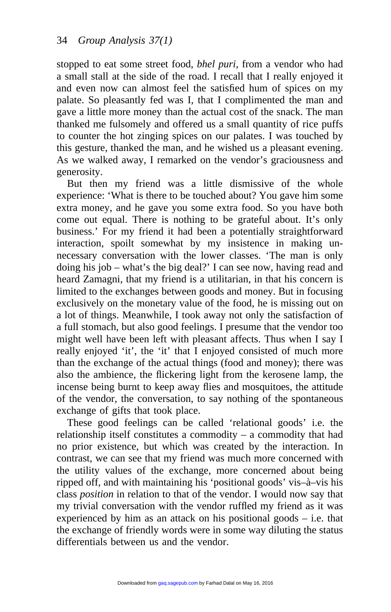stopped to eat some street food, *bhel puri*, from a vendor who had a small stall at the side of the road. I recall that I really enjoyed it and even now can almost feel the satisfied hum of spices on my palate. So pleasantly fed was I, that I complimented the man and gave a little more money than the actual cost of the snack. The man thanked me fulsomely and offered us a small quantity of rice puffs to counter the hot zinging spices on our palates. I was touched by this gesture, thanked the man, and he wished us a pleasant evening. As we walked away, I remarked on the vendor's graciousness and generosity.

But then my friend was a little dismissive of the whole experience: 'What is there to be touched about? You gave him some extra money, and he gave you some extra food. So you have both come out equal. There is nothing to be grateful about. It's only business.' For my friend it had been a potentially straightforward interaction, spoilt somewhat by my insistence in making unnecessary conversation with the lower classes. 'The man is only doing his job – what's the big deal?' I can see now, having read and heard Zamagni, that my friend is a utilitarian, in that his concern is limited to the exchanges between goods and money. But in focusing exclusively on the monetary value of the food, he is missing out on a lot of things. Meanwhile, I took away not only the satisfaction of a full stomach, but also good feelings. I presume that the vendor too might well have been left with pleasant affects. Thus when I say I really enjoyed 'it', the 'it' that I enjoyed consisted of much more than the exchange of the actual things (food and money); there was also the ambience, the flickering light from the kerosene lamp, the incense being burnt to keep away flies and mosquitoes, the attitude of the vendor, the conversation, to say nothing of the spontaneous exchange of gifts that took place.

These good feelings can be called 'relational goods' i.e. the relationship itself constitutes a commodity – a commodity that had no prior existence, but which was created by the interaction. In contrast, we can see that my friend was much more concerned with the utility values of the exchange, more concerned about being ripped off, and with maintaining his 'positional goods' vis- $\hat{a}$ –vis his class *position* in relation to that of the vendor. I would now say that my trivial conversation with the vendor ruffled my friend as it was experienced by him as an attack on his positional goods – i.e. that the exchange of friendly words were in some way diluting the status differentials between us and the vendor.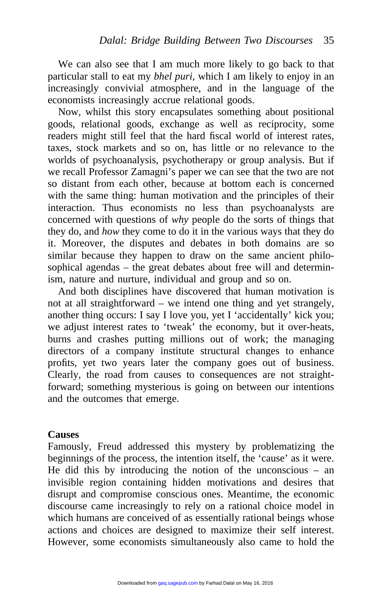We can also see that I am much more likely to go back to that particular stall to eat my *bhel puri*, which I am likely to enjoy in an increasingly convivial atmosphere, and in the language of the economists increasingly accrue relational goods.

Now, whilst this story encapsulates something about positional goods, relational goods, exchange as well as reciprocity, some readers might still feel that the hard fiscal world of interest rates, taxes, stock markets and so on, has little or no relevance to the worlds of psychoanalysis, psychotherapy or group analysis. But if we recall Professor Zamagni's paper we can see that the two are not so distant from each other, because at bottom each is concerned with the same thing: human motivation and the principles of their interaction. Thus economists no less than psychoanalysts are concerned with questions of *why* people do the sorts of things that they do, and *how* they come to do it in the various ways that they do it. Moreover, the disputes and debates in both domains are so similar because they happen to draw on the same ancient philosophical agendas – the great debates about free will and determinism, nature and nurture, individual and group and so on.

And both disciplines have discovered that human motivation is not at all straightforward – we intend one thing and yet strangely, another thing occurs: I say I love you, yet I 'accidentally' kick you; we adjust interest rates to 'tweak' the economy, but it over-heats, burns and crashes putting millions out of work; the managing directors of a company institute structural changes to enhance profits, yet two years later the company goes out of business. Clearly, the road from causes to consequences are not straightforward; something mysterious is going on between our intentions and the outcomes that emerge.

### **Causes**

Famously, Freud addressed this mystery by problematizing the beginnings of the process, the intention itself, the 'cause' as it were. He did this by introducing the notion of the unconscious  $-$  an invisible region containing hidden motivations and desires that disrupt and compromise conscious ones. Meantime, the economic discourse came increasingly to rely on a rational choice model in which humans are conceived of as essentially rational beings whose actions and choices are designed to maximize their self interest. However, some economists simultaneously also came to hold the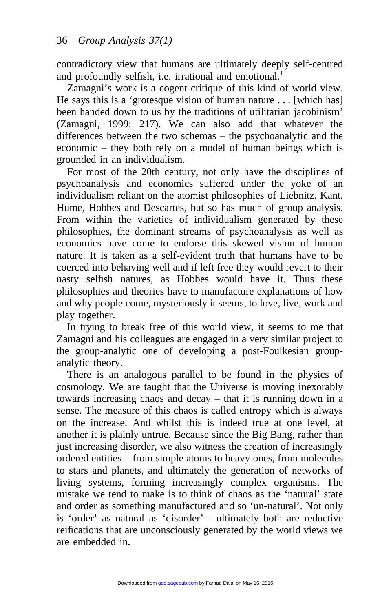contradictory view that humans are ultimately deeply self-centred and profoundly selfish, i.e. irrational and emotional.<sup>1</sup>

Zamagni's work is a cogent critique of this kind of world view. He says this is a 'grotesque vision of human nature . . . [which has] been handed down to us by the traditions of utilitarian jacobinism' (Zamagni, 1999: 217). We can also add that whatever the differences between the two schemas – the psychoanalytic and the economic – they both rely on a model of human beings which is grounded in an individualism.

For most of the 20th century, not only have the disciplines of psychoanalysis and economics suffered under the yoke of an individualism reliant on the atomist philosophies of Liebnitz, Kant, Hume, Hobbes and Descartes, but so has much of group analysis. From within the varieties of individualism generated by these philosophies, the dominant streams of psychoanalysis as well as economics have come to endorse this skewed vision of human nature. It is taken as a self-evident truth that humans have to be coerced into behaving well and if left free they would revert to their nasty selfish natures, as Hobbes would have it. Thus these philosophies and theories have to manufacture explanations of how and why people come, mysteriously it seems, to love, live, work and play together.

In trying to break free of this world view, it seems to me that Zamagni and his colleagues are engaged in a very similar project to the group-analytic one of developing a post-Foulkesian groupanalytic theory.

There is an analogous parallel to be found in the physics of cosmology. We are taught that the Universe is moving inexorably towards increasing chaos and decay – that it is running down in a sense. The measure of this chaos is called entropy which is always on the increase. And whilst this is indeed true at one level, at another it is plainly untrue. Because since the Big Bang, rather than just increasing disorder, we also witness the creation of increasingly ordered entities – from simple atoms to heavy ones, from molecules to stars and planets, and ultimately the generation of networks of living systems, forming increasingly complex organisms. The mistake we tend to make is to think of chaos as the 'natural' state and order as something manufactured and so 'un-natural'. Not only is 'order' as natural as 'disorder' - ultimately both are reductive reifications that are unconsciously generated by the world views we are embedded in.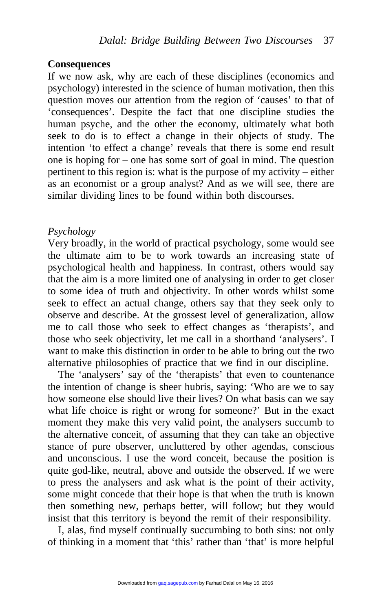#### **Consequences**

If we now ask, why are each of these disciplines (economics and psychology) interested in the science of human motivation, then this question moves our attention from the region of 'causes' to that of 'consequences'. Despite the fact that one discipline studies the human psyche, and the other the economy, ultimately what both seek to do is to effect a change in their objects of study. The intention 'to effect a change' reveals that there is some end result one is hoping for – one has some sort of goal in mind. The question pertinent to this region is: what is the purpose of my activity – either as an economist or a group analyst? And as we will see, there are similar dividing lines to be found within both discourses.

#### *Psychology*

Very broadly, in the world of practical psychology, some would see the ultimate aim to be to work towards an increasing state of psychological health and happiness. In contrast, others would say that the aim is a more limited one of analysing in order to get closer to some idea of truth and objectivity. In other words whilst some seek to effect an actual change, others say that they seek only to observe and describe. At the grossest level of generalization, allow me to call those who seek to effect changes as 'therapists', and those who seek objectivity, let me call in a shorthand 'analysers'. I want to make this distinction in order to be able to bring out the two alternative philosophies of practice that we find in our discipline.

The 'analysers' say of the 'therapists' that even to countenance the intention of change is sheer hubris, saying: 'Who are we to say how someone else should live their lives? On what basis can we say what life choice is right or wrong for someone?' But in the exact moment they make this very valid point, the analysers succumb to the alternative conceit, of assuming that they can take an objective stance of pure observer, uncluttered by other agendas, conscious and unconscious. I use the word conceit, because the position is quite god-like, neutral, above and outside the observed. If we were to press the analysers and ask what is the point of their activity, some might concede that their hope is that when the truth is known then something new, perhaps better, will follow; but they would insist that this territory is beyond the remit of their responsibility.

I, alas, find myself continually succumbing to both sins: not only of thinking in a moment that 'this' rather than 'that' is more helpful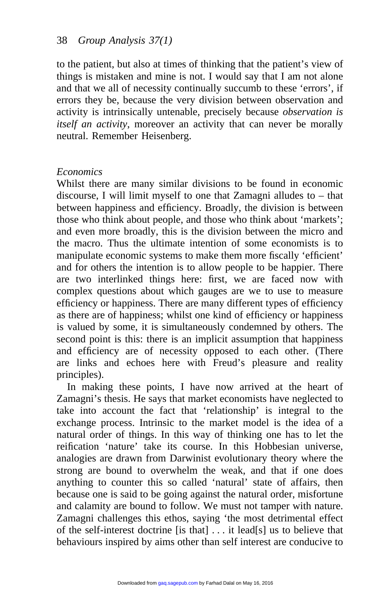to the patient, but also at times of thinking that the patient's view of things is mistaken and mine is not. I would say that I am not alone and that we all of necessity continually succumb to these 'errors', if errors they be, because the very division between observation and activity is intrinsically untenable, precisely because *observation is itself an activity*, moreover an activity that can never be morally neutral. Remember Heisenberg.

#### *Economics*

Whilst there are many similar divisions to be found in economic discourse, I will limit myself to one that Zamagni alludes to – that between happiness and efficiency. Broadly, the division is between those who think about people, and those who think about 'markets'; and even more broadly, this is the division between the micro and the macro. Thus the ultimate intention of some economists is to manipulate economic systems to make them more fiscally 'efficient' and for others the intention is to allow people to be happier. There are two interlinked things here: first, we are faced now with complex questions about which gauges are we to use to measure efficiency or happiness. There are many different types of efficiency as there are of happiness; whilst one kind of efficiency or happiness is valued by some, it is simultaneously condemned by others. The second point is this: there is an implicit assumption that happiness and efficiency are of necessity opposed to each other. (There are links and echoes here with Freud's pleasure and reality principles).

In making these points, I have now arrived at the heart of Zamagni's thesis. He says that market economists have neglected to take into account the fact that 'relationship' is integral to the exchange process. Intrinsic to the market model is the idea of a natural order of things. In this way of thinking one has to let the reification 'nature' take its course. In this Hobbesian universe, analogies are drawn from Darwinist evolutionary theory where the strong are bound to overwhelm the weak, and that if one does anything to counter this so called 'natural' state of affairs, then because one is said to be going against the natural order, misfortune and calamity are bound to follow. We must not tamper with nature. Zamagni challenges this ethos, saying 'the most detrimental effect of the self-interest doctrine [is that] . . . it lead[s] us to believe that behaviours inspired by aims other than self interest are conducive to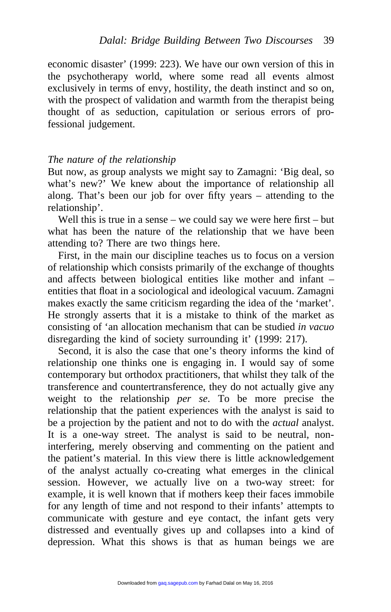economic disaster' (1999: 223). We have our own version of this in the psychotherapy world, where some read all events almost exclusively in terms of envy, hostility, the death instinct and so on, with the prospect of validation and warmth from the therapist being thought of as seduction, capitulation or serious errors of professional judgement.

#### *The nature of the relationship*

But now, as group analysts we might say to Zamagni: 'Big deal, so what's new?' We knew about the importance of relationship all along. That's been our job for over fifty years – attending to the relationship'.

Well this is true in a sense – we could say we were here first – but what has been the nature of the relationship that we have been attending to? There are two things here.

First, in the main our discipline teaches us to focus on a version of relationship which consists primarily of the exchange of thoughts and affects between biological entities like mother and infant – entities that float in a sociological and ideological vacuum. Zamagni makes exactly the same criticism regarding the idea of the 'market'. He strongly asserts that it is a mistake to think of the market as consisting of 'an allocation mechanism that can be studied *in vacuo* disregarding the kind of society surrounding it' (1999: 217).

Second, it is also the case that one's theory informs the kind of relationship one thinks one is engaging in. I would say of some contemporary but orthodox practitioners, that whilst they talk of the transference and countertransference, they do not actually give any weight to the relationship *per se*. To be more precise the relationship that the patient experiences with the analyst is said to be a projection by the patient and not to do with the *actual* analyst. It is a one-way street. The analyst is said to be neutral, noninterfering, merely observing and commenting on the patient and the patient's material. In this view there is little acknowledgement of the analyst actually co-creating what emerges in the clinical session. However, we actually live on a two-way street: for example, it is well known that if mothers keep their faces immobile for any length of time and not respond to their infants' attempts to communicate with gesture and eye contact, the infant gets very distressed and eventually gives up and collapses into a kind of depression. What this shows is that as human beings we are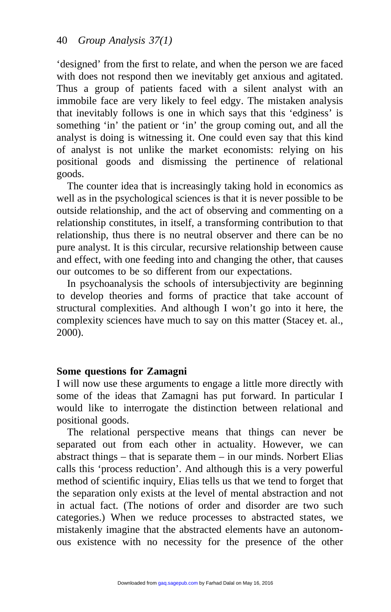'designed' from the first to relate, and when the person we are faced with does not respond then we inevitably get anxious and agitated. Thus a group of patients faced with a silent analyst with an immobile face are very likely to feel edgy. The mistaken analysis that inevitably follows is one in which says that this 'edginess' is something 'in' the patient or 'in' the group coming out, and all the analyst is doing is witnessing it. One could even say that this kind of analyst is not unlike the market economists: relying on his positional goods and dismissing the pertinence of relational goods.

The counter idea that is increasingly taking hold in economics as well as in the psychological sciences is that it is never possible to be outside relationship, and the act of observing and commenting on a relationship constitutes, in itself, a transforming contribution to that relationship, thus there is no neutral observer and there can be no pure analyst. It is this circular, recursive relationship between cause and effect, with one feeding into and changing the other, that causes our outcomes to be so different from our expectations.

In psychoanalysis the schools of intersubjectivity are beginning to develop theories and forms of practice that take account of structural complexities. And although I won't go into it here, the complexity sciences have much to say on this matter (Stacey et. al., 2000).

#### **Some questions for Zamagni**

I will now use these arguments to engage a little more directly with some of the ideas that Zamagni has put forward. In particular I would like to interrogate the distinction between relational and positional goods.

The relational perspective means that things can never be separated out from each other in actuality. However, we can abstract things – that is separate them – in our minds. Norbert Elias calls this 'process reduction'. And although this is a very powerful method of scientific inquiry, Elias tells us that we tend to forget that the separation only exists at the level of mental abstraction and not in actual fact. (The notions of order and disorder are two such categories.) When we reduce processes to abstracted states, we mistakenly imagine that the abstracted elements have an autonomous existence with no necessity for the presence of the other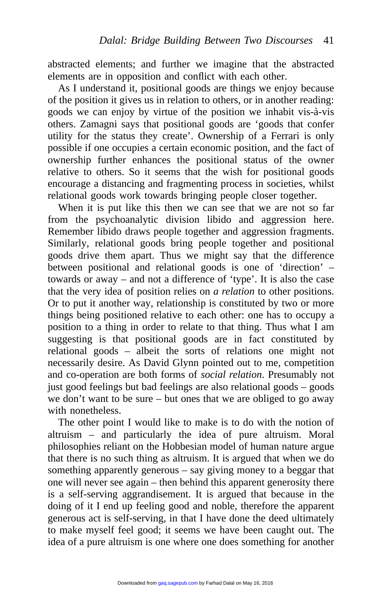abstracted elements; and further we imagine that the abstracted elements are in opposition and conflict with each other.

As I understand it, positional goods are things we enjoy because of the position it gives us in relation to others, or in another reading: goods we can enjoy by virtue of the position we inhabit vis- $\hat{a}$ -vis others. Zamagni says that positional goods are 'goods that confer utility for the status they create'. Ownership of a Ferrari is only possible if one occupies a certain economic position, and the fact of ownership further enhances the positional status of the owner relative to others. So it seems that the wish for positional goods encourage a distancing and fragmenting process in societies, whilst relational goods work towards bringing people closer together.

When it is put like this then we can see that we are not so far from the psychoanalytic division libido and aggression here. Remember libido draws people together and aggression fragments. Similarly, relational goods bring people together and positional goods drive them apart. Thus we might say that the difference between positional and relational goods is one of 'direction' – towards or away – and not a difference of 'type'. It is also the case that the very idea of position relies on *a relation* to other positions. Or to put it another way, relationship is constituted by two or more things being positioned relative to each other: one has to occupy a position to a thing in order to relate to that thing. Thus what I am suggesting is that positional goods are in fact constituted by relational goods – albeit the sorts of relations one might not necessarily desire. As David Glynn pointed out to me, competition and co-operation are both forms of *social relation*. Presumably not just good feelings but bad feelings are also relational goods – goods we don't want to be sure – but ones that we are obliged to go away with nonetheless.

The other point I would like to make is to do with the notion of altruism – and particularly the idea of pure altruism. Moral philosophies reliant on the Hobbesian model of human nature argue that there is no such thing as altruism. It is argued that when we do something apparently generous – say giving money to a beggar that one will never see again – then behind this apparent generosity there is a self-serving aggrandisement. It is argued that because in the doing of it I end up feeling good and noble, therefore the apparent generous act is self-serving, in that I have done the deed ultimately to make myself feel good; it seems we have been caught out. The idea of a pure altruism is one where one does something for another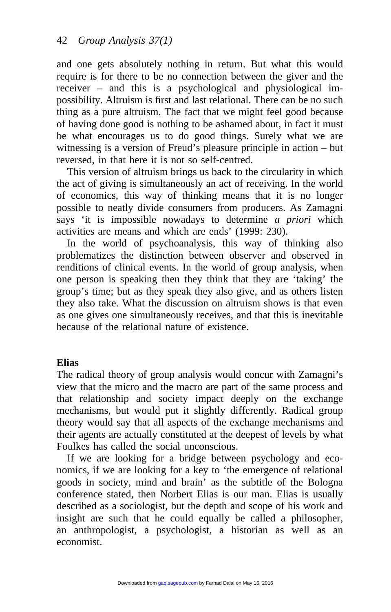and one gets absolutely nothing in return. But what this would require is for there to be no connection between the giver and the receiver – and this is a psychological and physiological impossibility. Altruism is first and last relational. There can be no such thing as a pure altruism. The fact that we might feel good because of having done good is nothing to be ashamed about, in fact it must be what encourages us to do good things. Surely what we are witnessing is a version of Freud's pleasure principle in action – but reversed, in that here it is not so self-centred.

This version of altruism brings us back to the circularity in which the act of giving is simultaneously an act of receiving. In the world of economics, this way of thinking means that it is no longer possible to neatly divide consumers from producers. As Zamagni says 'it is impossible nowadays to determine *a priori* which activities are means and which are ends' (1999: 230).

In the world of psychoanalysis, this way of thinking also problematizes the distinction between observer and observed in renditions of clinical events. In the world of group analysis, when one person is speaking then they think that they are 'taking' the group's time; but as they speak they also give, and as others listen they also take. What the discussion on altruism shows is that even as one gives one simultaneously receives, and that this is inevitable because of the relational nature of existence.

#### **Elias**

The radical theory of group analysis would concur with Zamagni's view that the micro and the macro are part of the same process and that relationship and society impact deeply on the exchange mechanisms, but would put it slightly differently. Radical group theory would say that all aspects of the exchange mechanisms and their agents are actually constituted at the deepest of levels by what Foulkes has called the social unconscious.

If we are looking for a bridge between psychology and economics, if we are looking for a key to 'the emergence of relational goods in society, mind and brain' as the subtitle of the Bologna conference stated, then Norbert Elias is our man. Elias is usually described as a sociologist, but the depth and scope of his work and insight are such that he could equally be called a philosopher, an anthropologist, a psychologist, a historian as well as an economist.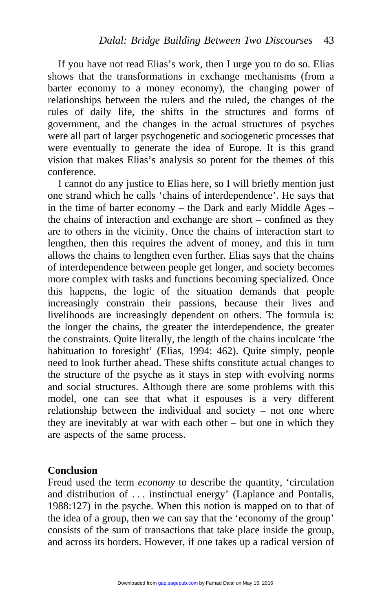If you have not read Elias's work, then I urge you to do so. Elias shows that the transformations in exchange mechanisms (from a barter economy to a money economy), the changing power of relationships between the rulers and the ruled, the changes of the rules of daily life, the shifts in the structures and forms of government, and the changes in the actual structures of psyches were all part of larger psychogenetic and sociogenetic processes that were eventually to generate the idea of Europe. It is this grand vision that makes Elias's analysis so potent for the themes of this conference.

I cannot do any justice to Elias here, so I will briefly mention just one strand which he calls 'chains of interdependence'. He says that in the time of barter economy – the Dark and early Middle Ages – the chains of interaction and exchange are short – confined as they are to others in the vicinity. Once the chains of interaction start to lengthen, then this requires the advent of money, and this in turn allows the chains to lengthen even further. Elias says that the chains of interdependence between people get longer, and society becomes more complex with tasks and functions becoming specialized. Once this happens, the logic of the situation demands that people increasingly constrain their passions, because their lives and livelihoods are increasingly dependent on others. The formula is: the longer the chains, the greater the interdependence, the greater the constraints. Quite literally, the length of the chains inculcate 'the habituation to foresight' (Elias, 1994: 462). Quite simply, people need to look further ahead. These shifts constitute actual changes to the structure of the psyche as it stays in step with evolving norms and social structures. Although there are some problems with this model, one can see that what it espouses is a very different relationship between the individual and society – not one where they are inevitably at war with each other – but one in which they are aspects of the same process.

#### **Conclusion**

Freud used the term *economy* to describe the quantity, 'circulation and distribution of . . . instinctual energy' (Laplance and Pontalis, 1988:127) in the psyche. When this notion is mapped on to that of the idea of a group, then we can say that the 'economy of the group' consists of the sum of transactions that take place inside the group, and across its borders. However, if one takes up a radical version of